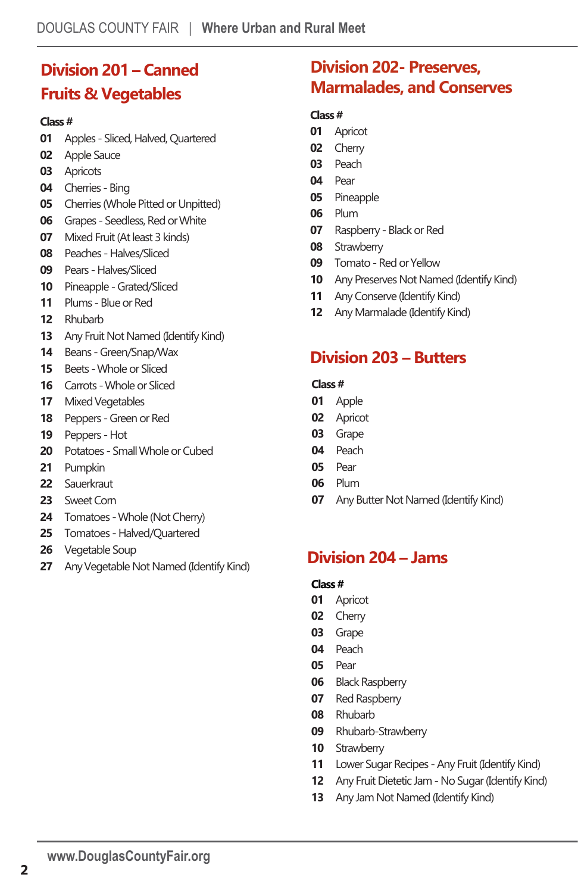### **Vpøøø ∴.æMø "Ð † DNjsĨǣʹ¶sǣŸ¯ğŘȖNjɴˠʰˡ˟ˡˠʺ**

### **Vpøøø** #

- Adult(23+)
- Senior(16-22)
	- **˟ˢ**Intermediate (12-15)
- Junior (8-11)
- Peewee (7 and under)

# **Division 201 – Canned Fruits & Vegetables**

#### **Class #**

- Apples Sliced, Halved, Quartered
- Apple Sauce
- Apricots
- Cherries Bing
- Cherries (Whole Pitted or Unpitted)
- Grapes Seedless, Red orWhite
- Mixed Fruit (At least 3 kinds)
- Peaches Halves/Sliced
- Pears Halves/Sliced
- Pineapple Grated/Sliced
- Plums Blue or Red
- Rhubarb
- Any Fruit Not Named (Identify Kind)
- Beans Green/Snap/Wax
- Beets -Whole or Sliced
- Carrots -Whole or Sliced
- Mixed Vegetables
- Peppers Green or Red
- Peppers Hot
- Potatoes Small Whole or Cubed
- Pumpkin
- Sauerkraut
- Sweet Corn
- Tomatoes -Whole (Not Cherry)
- Tomatoes Halved/Quartered
- Vegetable Soup
- Any Vegetable Not Named (Identify Kind)

# **Division 202- Preserves, Marmalades, and Conserves**

#### **Class #**

- Apricot
- Cherry
- Peach
- Pear
- Pineapple
- Plum
- Raspberry Black or Red
- Strawberry
- Tomato Red or Yellow
- Any Preserves Not Named (Identify Kind)
- Any Conserve (Identify Kind)
- Any Marmalade (Identify Kind)

### **Division 203 – Butters**

#### **Class #**

- Apple
- Apricot
- Grape
- Peach
- Pear
- Plum
- Any Butter Not Named (Identify Kind)

# **Division 204 – Jams**

- Apricot
- Cherry
- Grape
- Peach
- Pear
- Black Raspberry
- Red Raspberry
- Rhubarb
- Rhubarb-Strawberry
- Strawberry
- Lower Sugar Recipes Any Fruit (Identify Kind)
- Any Fruit Dietetic Jam No Sugar (Identify Kind)
- Any Jam Not Named (Identify Kind)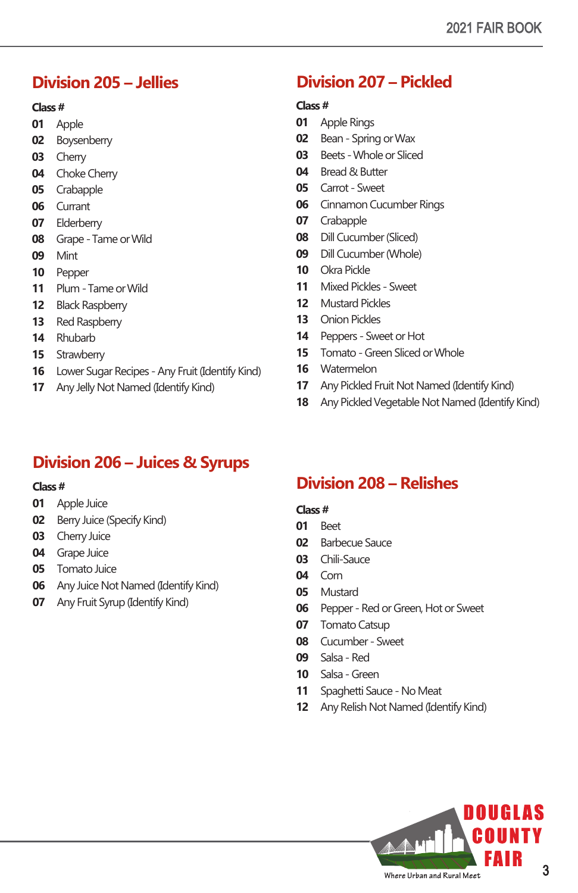# **Division 205 – Jellies**

#### **Class #**

- Apple
- Boysenberry
- Cherry
- Choke Cherry
- Crabapple
- Currant
- Elderberry
- Grape Tame or Wild
- Mint
- Pepper
- Plum Tame or Wild
- Black Raspberry
- Red Raspberry
- Rhubarb
- Strawberry
- Lower Sugar Recipes Any Fruit (Identify Kind)
- Any Jelly Not Named (Identify Kind)

# **Division 206 – Juices & Syrups**

### **Class #**

- Apple Juice
- Berry Juice (Specify Kind)
- Cherry Juice
- Grape Juice
- Tomato Juice
- Any Juice Not Named (Identify Kind)
- Any Fruit Syrup (Identify Kind)

# **Division 207 – Pickled**

#### **Class #**

- Apple Rings
- Bean Spring orWax
- Beets -Whole or Sliced
- Bread & Butter
- Carrot Sweet
- Cinnamon Cucumber Rings
- Crabapple
- Dill Cucumber (Sliced)
- Dill Cucumber (Whole)
- Okra Pickle
- Mixed Pickles Sweet
- Mustard Pickles
- Onion Pickles
- Peppers Sweet or Hot
- Tomato Green Sliced orWhole
- Watermelon
- Any Pickled Fruit Not Named (Identify Kind)
- Any Pickled Vegetable Not Named (Identify Kind)

# **Division 208 – Relishes**

- Beet
- Barbecue Sauce
- Chili-Sauce
- Corn
- Mustard
- Pepper Red or Green, Hot or Sweet
- Tomato Catsup
- Cucumber Sweet
- Salsa Red
- Salsa Green
- Spaghetti Sauce No Meat
- Any Relish Not Named (Identify Kind)

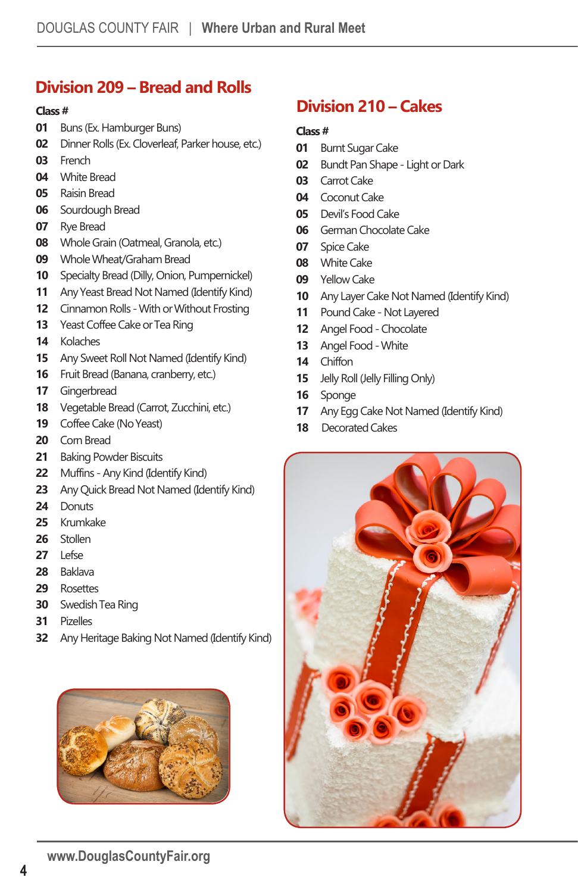# **Division 209 – Bread and Rolls**

#### **Class #**

- Buns (Ex. Hamburger Buns)
- Dinner Rolls (Ex. Cloverleaf, Parker house, etc.)
- French
- White Bread
- Raisin Bread
- Sourdough Bread
- Rye Bread
- Whole Grain (Oatmeal, Granola, etc.)
- Whole Wheat/Graham Bread
- Specialty Bread (Dilly, Onion, Pumpernickel)
- Any Yeast Bread Not Named (Identify Kind)
- Cinnamon Rolls With or Without Frosting
- Yeast Coffee Cake or Tea Ring
- Kolaches
- Any Sweet Roll Not Named (Identify Kind)
- Fruit Bread (Banana, cranberry, etc.)
- Gingerbread
- Vegetable Bread (Carrot, Zucchini, etc.)
- Coffee Cake (No Yeast)
- Corn Bread
- Baking Powder Biscuits
- Muffins Any Kind (Identify Kind)
- Any Quick Bread Not Named (Identify Kind)
- 24 Donuts
- Krumkake
- Stollen
- Lefse
- Baklava
- Rosettes
- Swedish Tea Ring
- Pizelles
- Any Heritage Baking Not Named (Identify Kind)



### **Division 210 – Cakes**

- Burnt Sugar Cake
- Bundt Pan Shape Light or Dark
- Carrot Cake
- Coconut Cake
- Devil's Food Cake
- German Chocolate Cake
- Spice Cake
- White Cake
- Yellow Cake
- Any Layer Cake Not Named (Identify Kind)
- Pound Cake Not Layered
- Angel Food Chocolate
- Angel Food -White
- Chiffon
- Jelly Roll (Jelly Filling Only)
- Sponge
- Any Egg Cake Not Named (Identify Kind)
- Decorated Cakes